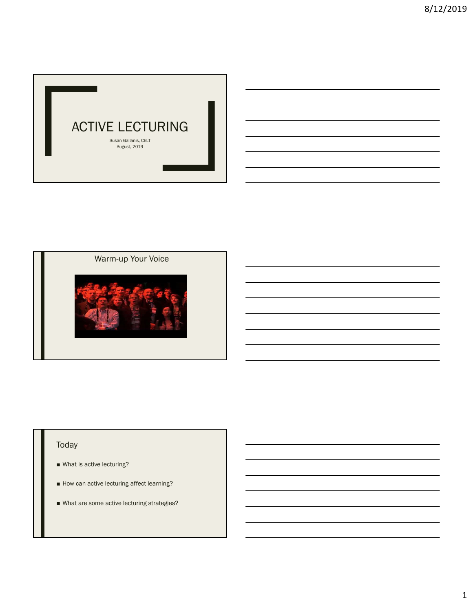

## Warm-up Your Voice



# Today

- What is active lecturing?
- How can active lecturing affect learning?
- What are some active lecturing strategies?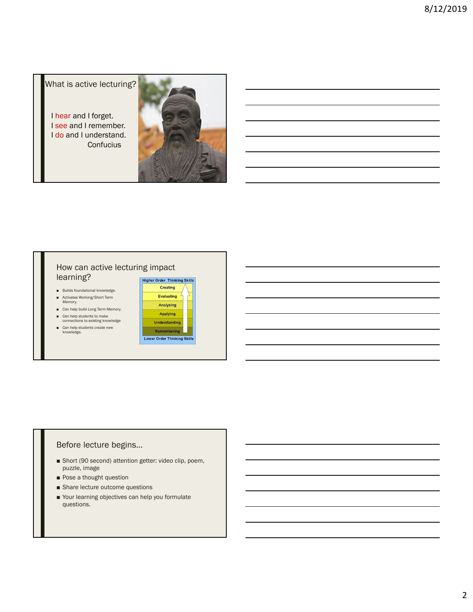What is active lecturing?

I hear and I forget. I see and I remember. I do and I understand. **Confucius** 



### How can active lecturing impact learning?

- Builds foundational knowledge.
- Activates Working/Short Term<br>Memory.
- Can help build Long Term Memory.
- Can help students to make<br>connections to existing knowledge
- Can help students create new<br>knowledge.



### Before lecture begins…

- Short (90 second) attention getter: video clip, poem, puzzle, image
- Pose a thought question
- Share lecture outcome questions
- Your learning objectives can help you formulate questions.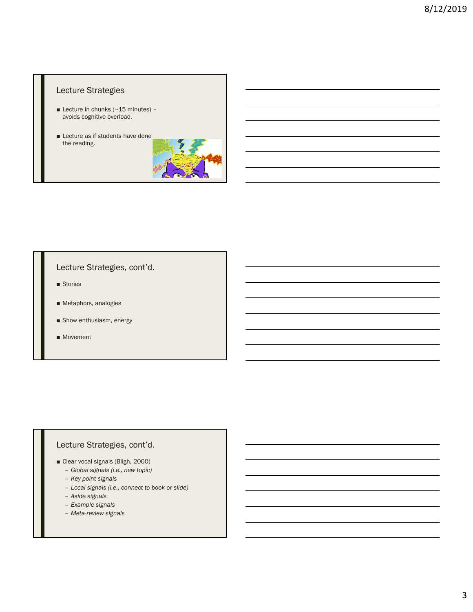### Lecture Strategies

- **Lecture in chunks (** $\sim$  **15 minutes)** avoids cognitive overload.
- Lecture as if students have done the reading.



## Lecture Strategies, cont'd.

- Stories
- Metaphors, analogies
- Show enthusiasm, energy
- Movement

## Lecture Strategies, cont'd.

- Clear vocal signals (Bligh, 2000)
	- *Global signals (i.e., new topic)*
	- *Key point signals*
	- *Local signals (i.e., connect to book or slide)*
	- *Aside signals*
	- *Example signals*
	- *Meta-review signals*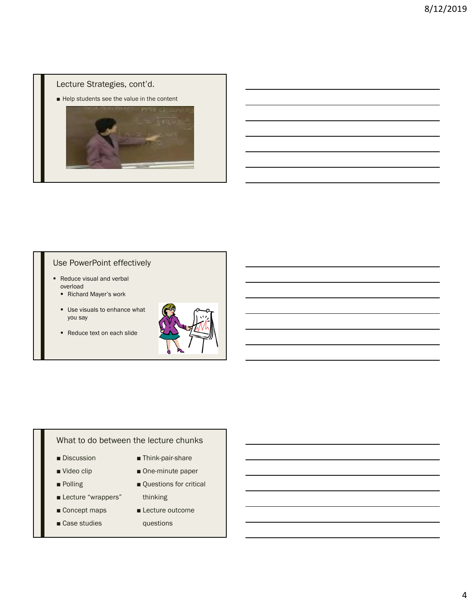## Lecture Strategies, cont'd.

■ Help students see the value in the content



## Use PowerPoint effectively

- Reduce visual and verbal overload
	- Richard Mayer's work
	- Use visuals to enhance what you say
	- Reduce text on each slide



#### What to do between the lecture chunks

- Discussion
- Video clip
- Polling
- Lecture "wrappers"
- Concept maps
- Case studies
- Think-pair-share
- One-minute paper
- Questions for critical thinking
- 
- Lecture outcome questions